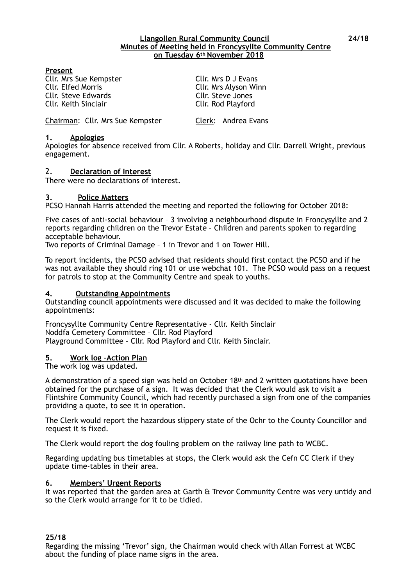#### **Llangollen Rural Community Council 24/18 Minutes of Meeting held in Froncysyllte Community Centre on Tuesday 6th November 2018**

## **Present**

Cllr. Mrs Sue Kempster Cllr. Mrs D J Evans Cllr. Elfed Morris **Cllr. Mrs Alyson Winn**<br>
Cllr. Steve Edwards Cllr. Steve Jones Cllr. Steve Edwards Cllr. Keith Sinclair Cllr. Rod Playford

Chairman: Cllr. Mrs Sue Kempster Clerk: Andrea Evans

#### **1. Apologies**

Apologies for absence received from Cllr. A Roberts, holiday and Cllr. Darrell Wright, previous engagement.

## 2. **Declaration of Interest**

There were no declarations of interest.

#### **3. Police Matters**

PCSO Hannah Harris attended the meeting and reported the following for October 2018:

Five cases of anti-social behaviour – 3 involving a neighbourhood dispute in Froncysyllte and 2 reports regarding children on the Trevor Estate – Children and parents spoken to regarding acceptable behaviour.

Two reports of Criminal Damage – 1 in Trevor and 1 on Tower Hill.

To report incidents, the PCSO advised that residents should first contact the PCSO and if he was not available they should ring 101 or use webchat 101. The PCSO would pass on a request for patrols to stop at the Community Centre and speak to youths.

#### **4. Outstanding Appointments**

Outstanding council appointments were discussed and it was decided to make the following appointments:

Froncysyllte Community Centre Representative - Cllr. Keith Sinclair Noddfa Cemetery Committee – Cllr. Rod Playford Playground Committee – Cllr. Rod Playford and Cllr. Keith Sinclair.

#### **5. Work log –Action Plan**

The work log was updated.

A demonstration of a speed sign was held on October 18th and 2 written quotations have been obtained for the purchase of a sign. It was decided that the Clerk would ask to visit a Flintshire Community Council, which had recently purchased a sign from one of the companies providing a quote, to see it in operation.

The Clerk would report the hazardous slippery state of the Ochr to the County Councillor and request it is fixed.

The Clerk would report the dog fouling problem on the railway line path to WCBC.

Regarding updating bus timetables at stops, the Clerk would ask the Cefn CC Clerk if they update time-tables in their area.

#### **6. Members' Urgent Reports**

It was reported that the garden area at Garth & Trevor Community Centre was very untidy and so the Clerk would arrange for it to be tidied.

## **25/18**

Regarding the missing 'Trevor' sign, the Chairman would check with Allan Forrest at WCBC about the funding of place name signs in the area.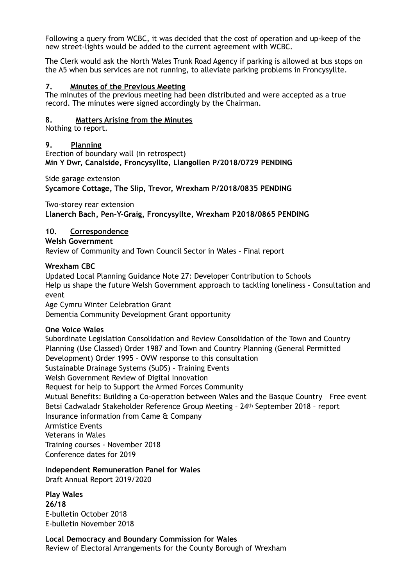Following a query from WCBC, it was decided that the cost of operation and up-keep of the new street-lights would be added to the current agreement with WCBC.

The Clerk would ask the North Wales Trunk Road Agency if parking is allowed at bus stops on the A5 when bus services are not running, to alleviate parking problems in Froncysyllte.

#### **7. Minutes of the Previous Meeting**

The minutes of the previous meeting had been distributed and were accepted as a true record. The minutes were signed accordingly by the Chairman.

#### **8. Matters Arising from the Minutes**

Nothing to report.

## **9. Planning**

Erection of boundary wall (in retrospect) **Min Y Dwr, Canalside, Froncysyllte, Llangollen P/2018/0729 PENDING** 

Side garage extension

**Sycamore Cottage, The Slip, Trevor, Wrexham P/2018/0835 PENDING** 

Two-storey rear extension

**Llanerch Bach, Pen-Y-Graig, Froncysyllte, Wrexham P2018/0865 PENDING** 

## **10. Correspondence**

**Welsh Government**  Review of Community and Town Council Sector in Wales – Final report

#### **Wrexham CBC**

Updated Local Planning Guidance Note 27: Developer Contribution to Schools Help us shape the future Welsh Government approach to tackling loneliness – Consultation and event Age Cymru Winter Celebration Grant

Dementia Community Development Grant opportunity

## **One Voice Wales**

Subordinate Legislation Consolidation and Review Consolidation of the Town and Country Planning (Use Classed) Order 1987 and Town and Country Planning (General Permitted Development) Order 1995 – OVW response to this consultation Sustainable Drainage Systems (SuDS) – Training Events Welsh Government Review of Digital Innovation Request for help to Support the Armed Forces Community Mutual Benefits: Building a Co-operation between Wales and the Basque Country – Free event Betsi Cadwaladr Stakeholder Reference Group Meeting – 24th September 2018 – report Insurance information from Came & Company Armistice Events Veterans in Wales Training courses - November 2018 Conference dates for 2019

## **Independent Remuneration Panel for Wales**

Draft Annual Report 2019/2020

**Play Wales 26/18**  E-bulletin October 2018 E-bulletin November 2018

**Local Democracy and Boundary Commission for Wales**  Review of Electoral Arrangements for the County Borough of Wrexham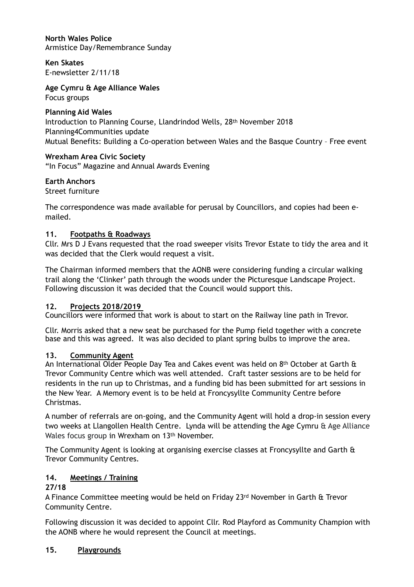**North Wales Police**  Armistice Day/Remembrance Sunday

**Ken Skates**  E-newsletter 2/11/18

**Age Cymru & Age Alliance Wales** 

Focus groups

# **Planning Aid Wales**

Introduction to Planning Course, Llandrindod Wells, 28th November 2018 Planning4Communities update Mutual Benefits: Building a Co-operation between Wales and the Basque Country – Free event

# **Wrexham Area Civic Society**

"In Focus" Magazine and Annual Awards Evening

# **Earth Anchors**

Street furniture

The correspondence was made available for perusal by Councillors, and copies had been emailed.

# **11. Footpaths & Roadways**

Cllr. Mrs D J Evans requested that the road sweeper visits Trevor Estate to tidy the area and it was decided that the Clerk would request a visit.

The Chairman informed members that the AONB were considering funding a circular walking trail along the 'Clinker' path through the woods under the Picturesque Landscape Project. Following discussion it was decided that the Council would support this.

# **12. Projects 2018/2019**

Councillors were informed that work is about to start on the Railway line path in Trevor.

Cllr. Morris asked that a new seat be purchased for the Pump field together with a concrete base and this was agreed. It was also decided to plant spring bulbs to improve the area.

# **13. Community Agent**

An International Older People Day Tea and Cakes event was held on  $8<sup>th</sup>$  October at Garth  $\theta$ Trevor Community Centre which was well attended. Craft taster sessions are to be held for residents in the run up to Christmas, and a funding bid has been submitted for art sessions in the New Year. A Memory event is to be held at Froncysyllte Community Centre before Christmas.

A number of referrals are on-going, and the Community Agent will hold a drop-in session every two weeks at Llangollen Health Centre. Lynda will be attending the Age Cymru & Age Alliance Wales focus group in Wrexham on 13th November.

The Community Agent is looking at organising exercise classes at Froncysyllte and Garth & Trevor Community Centres.

# **14. Meetings / Training**

# **27/18**

A Finance Committee meeting would be held on Friday 23rd November in Garth & Trevor Community Centre.

Following discussion it was decided to appoint Cllr. Rod Playford as Community Champion with the AONB where he would represent the Council at meetings.

# **15. Playgrounds**